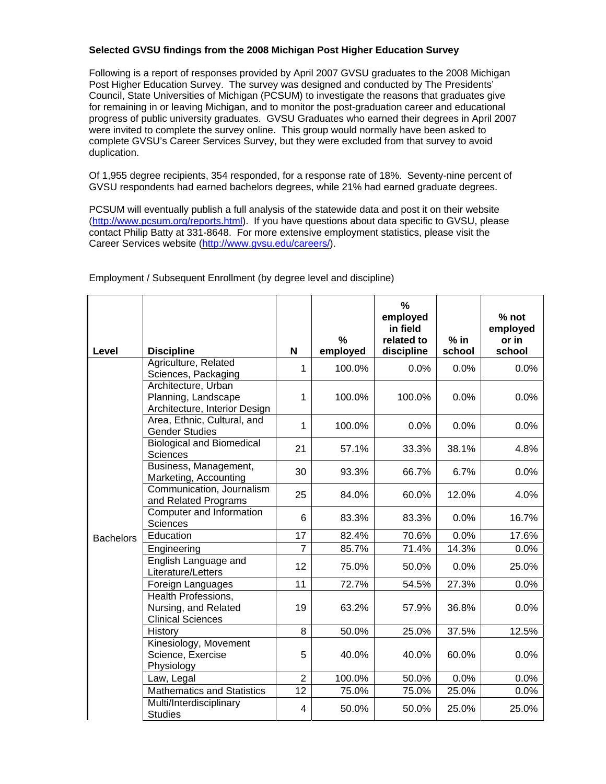## **Selected GVSU findings from the 2008 Michigan Post Higher Education Survey**

Following is a report of responses provided by April 2007 GVSU graduates to the 2008 Michigan Post Higher Education Survey. The survey was designed and conducted by The Presidents' Council, State Universities of Michigan (PCSUM) to investigate the reasons that graduates give for remaining in or leaving Michigan, and to monitor the post-graduation career and educational progress of public university graduates. GVSU Graduates who earned their degrees in April 2007 were invited to complete the survey online. This group would normally have been asked to complete GVSU's Career Services Survey, but they were excluded from that survey to avoid duplication.

Of 1,955 degree recipients, 354 responded, for a response rate of 18%. Seventy-nine percent of GVSU respondents had earned bachelors degrees, while 21% had earned graduate degrees.

PCSUM will eventually publish a full analysis of the statewide data and post it on their website (http://www.pcsum.org/reports.html). If you have questions about data specific to GVSU, please contact Philip Batty at 331-8648. For more extensive employment statistics, please visit the Career Services website (http://www.gvsu.edu/careers/).

| Level            | <b>Discipline</b>                                                           | N              | $\%$<br>employed | $\%$<br>employed<br>in field<br>related to<br>discipline | $%$ in<br>school | % not<br>employed<br>or in<br>school |
|------------------|-----------------------------------------------------------------------------|----------------|------------------|----------------------------------------------------------|------------------|--------------------------------------|
|                  | Agriculture, Related                                                        |                |                  |                                                          |                  |                                      |
|                  | Sciences, Packaging                                                         | 1              | 100.0%           | 0.0%                                                     | 0.0%             | 0.0%                                 |
|                  | Architecture, Urban<br>Planning, Landscape<br>Architecture, Interior Design | 1              | 100.0%           | 100.0%                                                   | 0.0%             | 0.0%                                 |
|                  | Area, Ethnic, Cultural, and<br><b>Gender Studies</b>                        | 1              | 100.0%           | 0.0%                                                     | 0.0%             | 0.0%                                 |
|                  | <b>Biological and Biomedical</b><br>Sciences                                | 21             | 57.1%            | 33.3%                                                    | 38.1%            | 4.8%                                 |
|                  | Business, Management,<br>Marketing, Accounting                              | 30             | 93.3%            | 66.7%                                                    | 6.7%             | 0.0%                                 |
| <b>Bachelors</b> | Communication, Journalism<br>and Related Programs                           | 25             | 84.0%            | 60.0%                                                    | 12.0%            | 4.0%                                 |
|                  | Computer and Information<br><b>Sciences</b>                                 | 6              | 83.3%            | 83.3%                                                    | 0.0%             | 16.7%                                |
|                  | Education                                                                   | 17             | 82.4%            | 70.6%                                                    | 0.0%             | 17.6%                                |
|                  | Engineering                                                                 | $\overline{7}$ | 85.7%            | 71.4%                                                    | 14.3%            | 0.0%                                 |
|                  | English Language and<br>Literature/Letters                                  | 12             | 75.0%            | 50.0%                                                    | 0.0%             | 25.0%                                |
|                  | Foreign Languages                                                           | 11             | 72.7%            | 54.5%                                                    | 27.3%            | 0.0%                                 |
|                  | Health Professions,<br>Nursing, and Related<br><b>Clinical Sciences</b>     | 19             | 63.2%            | 57.9%                                                    | 36.8%            | 0.0%                                 |
|                  | History                                                                     | 8              | 50.0%            | 25.0%                                                    | 37.5%            | 12.5%                                |
|                  | Kinesiology, Movement<br>Science, Exercise<br>Physiology                    | 5              | 40.0%            | 40.0%                                                    | 60.0%            | 0.0%                                 |
|                  | Law, Legal                                                                  | $\overline{2}$ | 100.0%           | 50.0%                                                    | 0.0%             | 0.0%                                 |
|                  | <b>Mathematics and Statistics</b>                                           | 12             | 75.0%            | 75.0%                                                    | 25.0%            | 0.0%                                 |
|                  | Multi/Interdisciplinary<br><b>Studies</b>                                   | 4              | 50.0%            | 50.0%                                                    | 25.0%            | 25.0%                                |

Employment / Subsequent Enrollment (by degree level and discipline)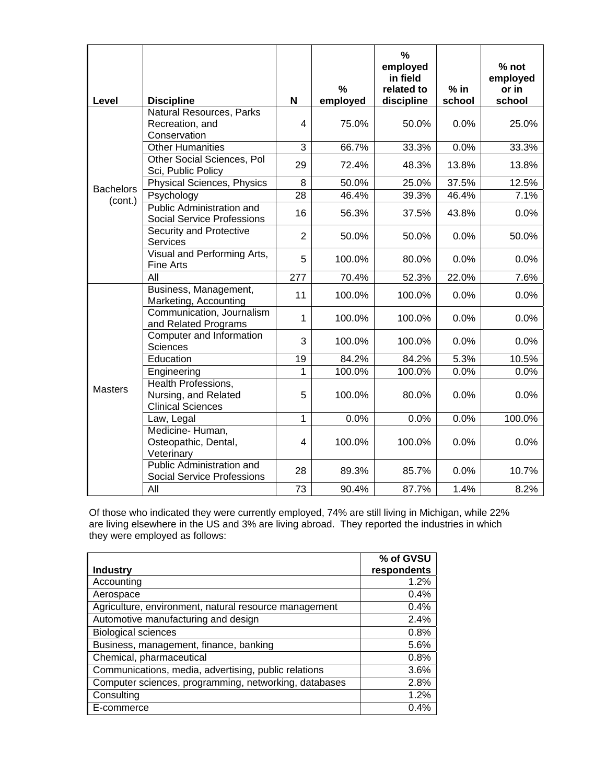| Level            | <b>Discipline</b>                                                       | N              | $\frac{0}{2}$<br>employed | $\frac{9}{6}$<br>employed<br>in field<br>related to<br>discipline | $%$ in<br>school | % not<br>employed<br>or in<br>school |
|------------------|-------------------------------------------------------------------------|----------------|---------------------------|-------------------------------------------------------------------|------------------|--------------------------------------|
|                  | Natural Resources, Parks                                                |                |                           |                                                                   |                  |                                      |
|                  | Recreation, and<br>Conservation                                         | 4              | 75.0%<br>50.0%            |                                                                   | 0.0%             | 25.0%                                |
|                  | <b>Other Humanities</b>                                                 | 3              | 66.7%                     | 33.3%                                                             | 0.0%             | 33.3%                                |
|                  | Other Social Sciences, Pol<br>Sci, Public Policy                        | 29             | 72.4%<br>48.3%            |                                                                   | 13.8%            | 13.8%                                |
| <b>Bachelors</b> | Physical Sciences, Physics                                              | 8              | 50.0%<br>37.5%<br>25.0%   |                                                                   |                  | 12.5%                                |
| (cont.)          | Psychology                                                              | 28             | 46.4%                     | 39.3%                                                             | 46.4%            | 7.1%                                 |
|                  | Public Administration and<br><b>Social Service Professions</b>          | 16             | 56.3%                     | 37.5%                                                             | 43.8%            | 0.0%                                 |
|                  | Security and Protective<br>Services                                     | $\overline{2}$ | 50.0%                     | 50.0%                                                             | 0.0%             | 50.0%                                |
|                  | Visual and Performing Arts,<br><b>Fine Arts</b>                         | 5              | 100.0%                    | 80.0%                                                             | 0.0%             | 0.0%                                 |
|                  | All                                                                     | 277            | 70.4%                     | 52.3%                                                             | 22.0%            | 7.6%                                 |
|                  | Business, Management,<br>Marketing, Accounting                          | 11             | 100.0%                    | 100.0%                                                            | 0.0%             | 0.0%                                 |
|                  | Communication, Journalism<br>and Related Programs                       | 1              | 100.0%                    | 100.0%                                                            |                  | 0.0%                                 |
|                  | Computer and Information<br><b>Sciences</b>                             | 3              | 100.0%                    | 100.0%                                                            |                  | 0.0%                                 |
|                  | Education                                                               | 19             | 84.2%                     | 84.2%                                                             | 5.3%             | 10.5%                                |
|                  | Engineering                                                             | 1              | 100.0%                    | 100.0%                                                            | 0.0%             | 0.0%                                 |
| <b>Masters</b>   | Health Professions,<br>Nursing, and Related<br><b>Clinical Sciences</b> | 5              | 100.0%                    | 80.0%                                                             | 0.0%             | 0.0%                                 |
|                  | Law, Legal                                                              | $\mathbf{1}$   | 0.0%                      | 0.0%                                                              | 0.0%             | 100.0%                               |
|                  | Medicine-Human,<br>Osteopathic, Dental,<br>Veterinary                   | 4              | 100.0%                    | 100.0%                                                            | 0.0%             | 0.0%                                 |
|                  | Public Administration and<br><b>Social Service Professions</b>          | 28             | 89.3%                     | 85.7%                                                             | 0.0%             | 10.7%                                |
|                  | All                                                                     | 73             | 90.4%                     | 87.7%                                                             | 1.4%             | 8.2%                                 |

Of those who indicated they were currently employed, 74% are still living in Michigan, while 22% are living elsewhere in the US and 3% are living abroad. They reported the industries in which they were employed as follows:

|                                                       | % of GVSU   |
|-------------------------------------------------------|-------------|
| <b>Industry</b>                                       | respondents |
| Accounting                                            | 1.2%        |
| Aerospace                                             | 0.4%        |
| Agriculture, environment, natural resource management | 0.4%        |
| Automotive manufacturing and design                   | 2.4%        |
| <b>Biological sciences</b>                            | 0.8%        |
| Business, management, finance, banking                | 5.6%        |
| Chemical, pharmaceutical                              | 0.8%        |
| Communications, media, advertising, public relations  | 3.6%        |
| Computer sciences, programming, networking, databases | 2.8%        |
| Consulting                                            | 1.2%        |
| E-commerce                                            | 0.4%        |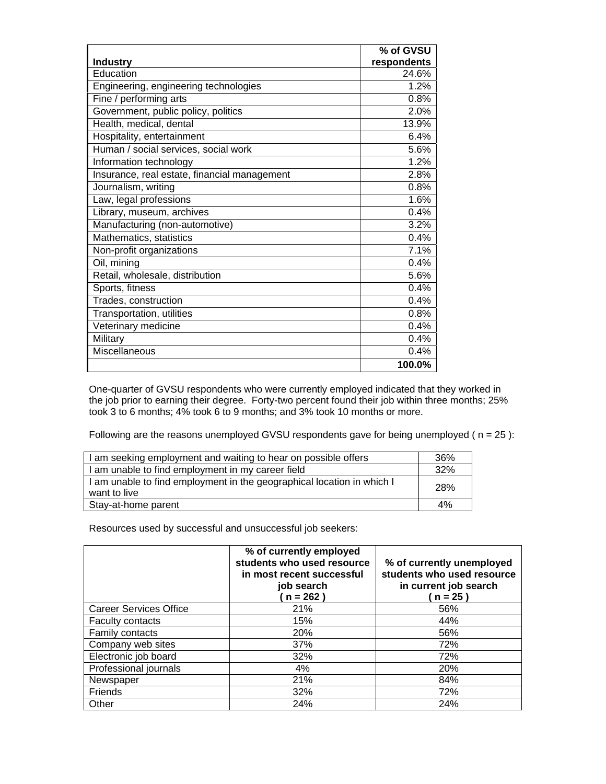|                                              | % of GVSU   |
|----------------------------------------------|-------------|
| <b>Industry</b>                              | respondents |
| Education                                    | 24.6%       |
| Engineering, engineering technologies        | 1.2%        |
| Fine / performing arts                       | 0.8%        |
| Government, public policy, politics          | 2.0%        |
| Health, medical, dental                      | 13.9%       |
| Hospitality, entertainment                   | 6.4%        |
| Human / social services, social work         | 5.6%        |
| Information technology                       | 1.2%        |
| Insurance, real estate, financial management | 2.8%        |
| Journalism, writing                          | 0.8%        |
| Law, legal professions                       | 1.6%        |
| Library, museum, archives                    | 0.4%        |
| Manufacturing (non-automotive)               | 3.2%        |
| Mathematics, statistics                      | 0.4%        |
| Non-profit organizations                     | 7.1%        |
| Oil, mining                                  | 0.4%        |
| Retail, wholesale, distribution              | 5.6%        |
| Sports, fitness                              | 0.4%        |
| Trades, construction                         | 0.4%        |
| Transportation, utilities                    | 0.8%        |
| Veterinary medicine                          | 0.4%        |
| Military                                     | 0.4%        |
| Miscellaneous                                | 0.4%        |
|                                              | 100.0%      |

One-quarter of GVSU respondents who were currently employed indicated that they worked in the job prior to earning their degree. Forty-two percent found their job within three months; 25% took 3 to 6 months; 4% took 6 to 9 months; and 3% took 10 months or more.

Following are the reasons unemployed GVSU respondents gave for being unemployed ( $n = 25$ ):

| I am seeking employment and waiting to hear on possible offers         |     |  |
|------------------------------------------------------------------------|-----|--|
| I am unable to find employment in my career field                      | 32% |  |
| I am unable to find employment in the geographical location in which I | 28% |  |
| want to live                                                           |     |  |
| Stay-at-home parent                                                    | 4%  |  |

Resources used by successful and unsuccessful job seekers:

|                               | % of currently employed<br>students who used resource<br>in most recent successful<br>job search<br>$n = 262$ ) | % of currently unemployed<br>students who used resource<br>in current job search<br>$n = 25$ |
|-------------------------------|-----------------------------------------------------------------------------------------------------------------|----------------------------------------------------------------------------------------------|
| <b>Career Services Office</b> | 21%                                                                                                             | 56%                                                                                          |
| <b>Faculty contacts</b>       | 15%                                                                                                             | 44%                                                                                          |
| <b>Family contacts</b>        | 20%                                                                                                             | 56%                                                                                          |
| Company web sites             | 37%                                                                                                             | 72%                                                                                          |
| Electronic job board          | 32%                                                                                                             | 72%                                                                                          |
| Professional journals         | 4%                                                                                                              | 20%                                                                                          |
| Newspaper                     | 21%                                                                                                             | 84%                                                                                          |
| Friends                       | 32%                                                                                                             | 72%                                                                                          |
| Other                         | 24%                                                                                                             | 24%                                                                                          |